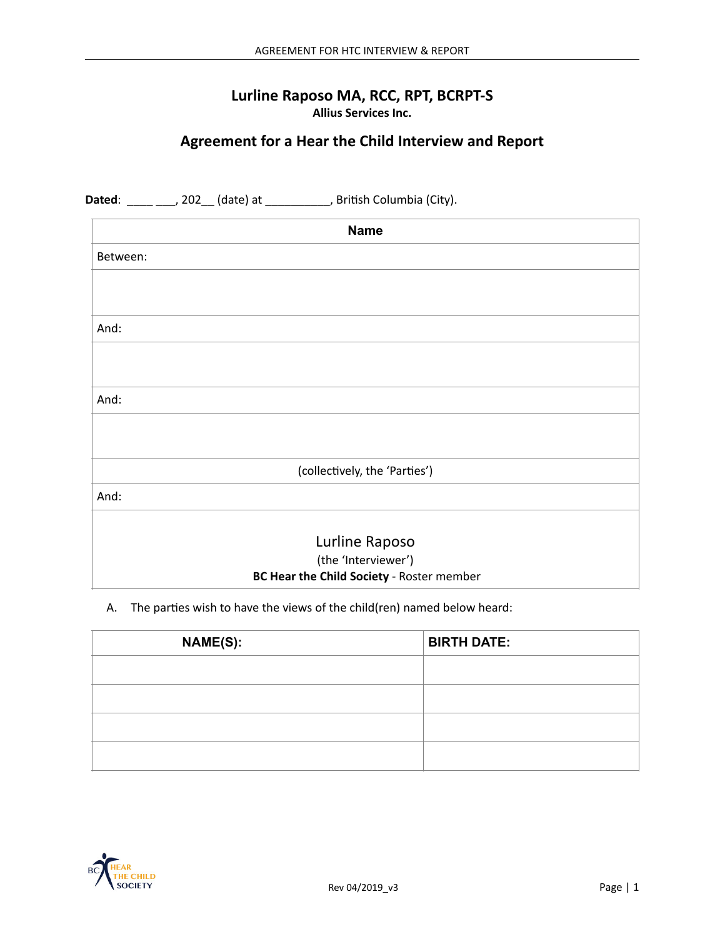### Lurline Raposo MA, RCC, RPT, BCRPT-S **Allius Services Inc.**

# Agreement for a Hear the Child Interview and Report

|          | Dated: ____ ___, 202__ (date) at ___________, British Columbia (City). |  |
|----------|------------------------------------------------------------------------|--|
|          | <b>Name</b>                                                            |  |
| Between: |                                                                        |  |
|          |                                                                        |  |
|          |                                                                        |  |
| And:     |                                                                        |  |
|          |                                                                        |  |
|          |                                                                        |  |
| And:     |                                                                        |  |
|          |                                                                        |  |
|          |                                                                        |  |
|          | (collectively, the 'Parties')                                          |  |
| And:     |                                                                        |  |
|          |                                                                        |  |
|          | Lurline Raposo                                                         |  |
|          | (the 'Interviewer')<br>BC Hear the Child Society - Roster member       |  |
|          |                                                                        |  |

### A. The parties wish to have the views of the child(ren) named below heard:

| <b>NAME(S):</b> | <b>BIRTH DATE:</b> |
|-----------------|--------------------|
|                 |                    |
|                 |                    |
|                 |                    |
|                 |                    |

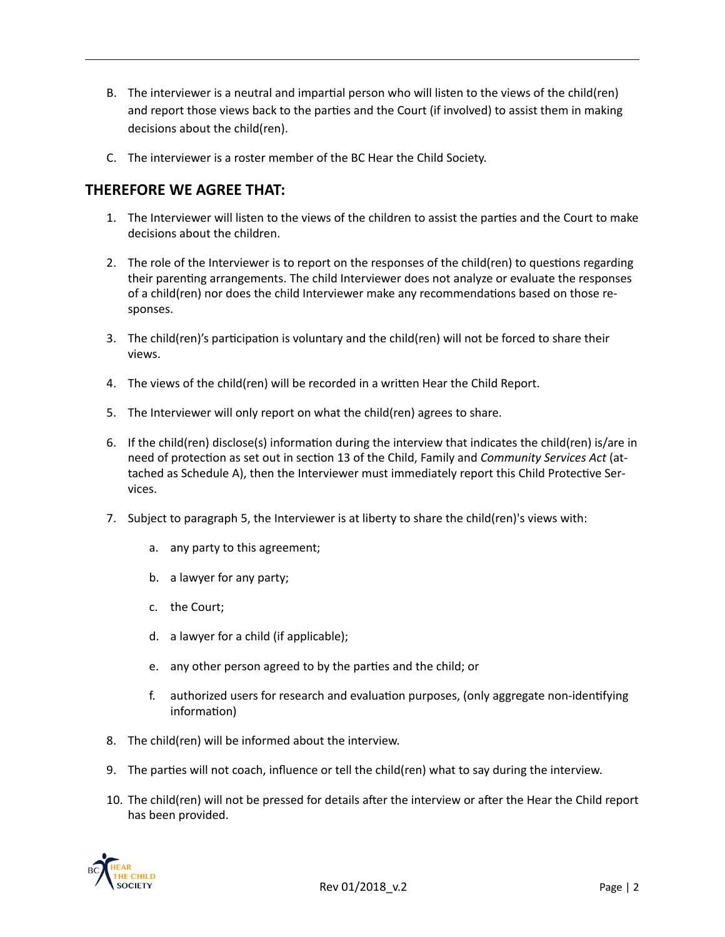- B. The interviewer is a neutral and impartial person who will listen to the views of the child(ren) and report those views back to the parties and the Court (if involved) to assist them in making decisions about the child(ren).
- C. The interviewer is a roster member of the BC Hear the Child Society.

## **THEREFORE WE AGREE THAT:**

- 1. The Interviewer will listen to the views of the children to assist the parties and the Court to make decisions about the children.
- 2. The role of the Interviewer is to report on the responses of the child(ren) to questions regarding their parenting arrangements. The child Interviewer does not analyze or evaluate the responses of a child(ren) nor does the child Interviewer make any recommendations based on those responses.
- 3. The child(ren)'s participation is voluntary and the child(ren) will not be forced to share their views.
- 4. The views of the child(ren) will be recorded in a written Hear the Child Report.
- 5. The Interviewer will only report on what the child(ren) agrees to share.
- 6. If the child(ren) disclose(s) information during the interview that indicates the child(ren) is/are in need of protection as set out in section 13 of the Child, Family and *Community Services Act* (attached as Schedule A), then the Interviewer must immediately report this Child Protective Services.
- 7. Subject to paragraph 5, the Interviewer is at liberty to share the child(ren)'s views with:
	- a. any party to this agreement;
	- b. a lawyer for any party;
	- c. the Court;
	- d. a lawyer for a child (if applicable);
	- e. any other person agreed to by the parties and the child; or
	- f. authorized users for research and evaluation purposes, (only aggregate non-identifying information)
- 8. The child(ren) will be informed about the interview.
- 9. The parties will not coach, influence or tell the child(ren) what to say during the interview.
- 10. The child(ren) will not be pressed for details after the interview or after the Hear the Child report has been provided.

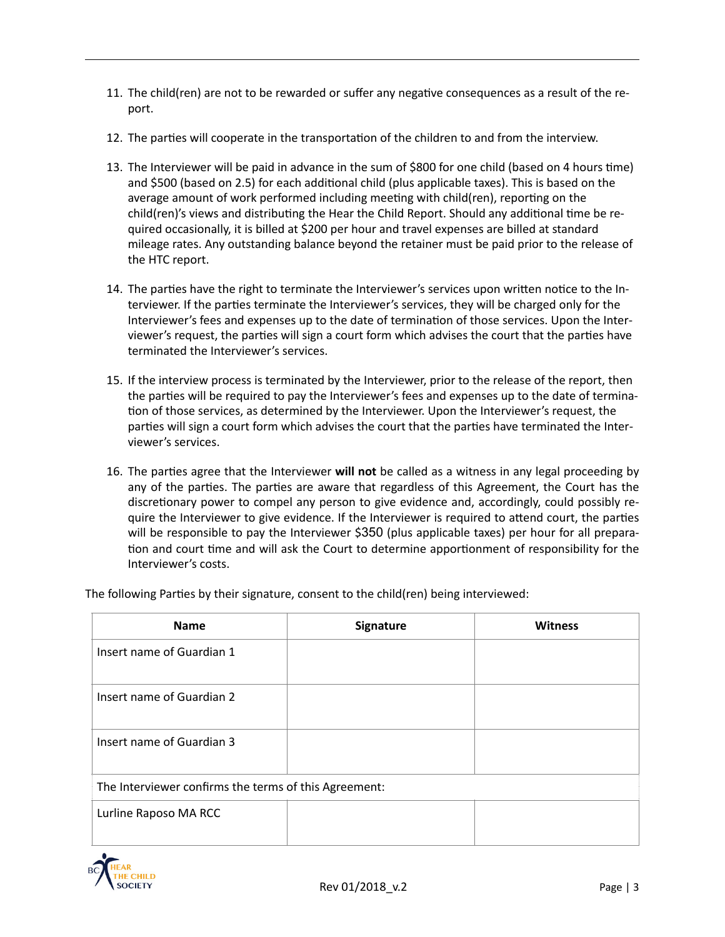- 11. The child(ren) are not to be rewarded or suffer any negative consequences as a result of the report.
- 12. The parties will cooperate in the transportation of the children to and from the interview.
- 13. The Interviewer will be paid in advance in the sum of \$800 for one child (based on 4 hours time) and \$500 (based on 2.5) for each additional child (plus applicable taxes). This is based on the average amount of work performed including meeting with child(ren), reporting on the child(ren)'s views and distributing the Hear the Child Report. Should any additional time be required occasionally, it is billed at \$200 per hour and travel expenses are billed at standard mileage rates. Any outstanding balance beyond the retainer must be paid prior to the release of the HTC report.
- 14. The parties have the right to terminate the Interviewer's services upon written notice to the Interviewer. If the parties terminate the Interviewer's services, they will be charged only for the Interviewer's fees and expenses up to the date of termination of those services. Upon the Interviewer's request, the parties will sign a court form which advises the court that the parties have terminated the Interviewer's services.
- 15. If the interview process is terminated by the Interviewer, prior to the release of the report, then the parties will be required to pay the Interviewer's fees and expenses up to the date of termination of those services, as determined by the Interviewer. Upon the Interviewer's request, the parties will sign a court form which advises the court that the parties have terminated the Interviewer's services.
- 16. The parties agree that the Interviewer **will not** be called as a witness in any legal proceeding by any of the parties. The parties are aware that regardless of this Agreement, the Court has the discretionary power to compel any person to give evidence and, accordingly, could possibly require the Interviewer to give evidence. If the Interviewer is required to attend court, the parties will be responsible to pay the Interviewer \$350 (plus applicable taxes) per hour for all preparation and court time and will ask the Court to determine apportionment of responsibility for the Interviewer's costs.

| <b>Name</b>                                           | <b>Signature</b> | <b>Witness</b> |  |  |  |
|-------------------------------------------------------|------------------|----------------|--|--|--|
| Insert name of Guardian 1                             |                  |                |  |  |  |
| Insert name of Guardian 2                             |                  |                |  |  |  |
| Insert name of Guardian 3                             |                  |                |  |  |  |
| The Interviewer confirms the terms of this Agreement: |                  |                |  |  |  |
| Lurline Raposo MA RCC                                 |                  |                |  |  |  |

The following Parties by their signature, consent to the child(ren) being interviewed: